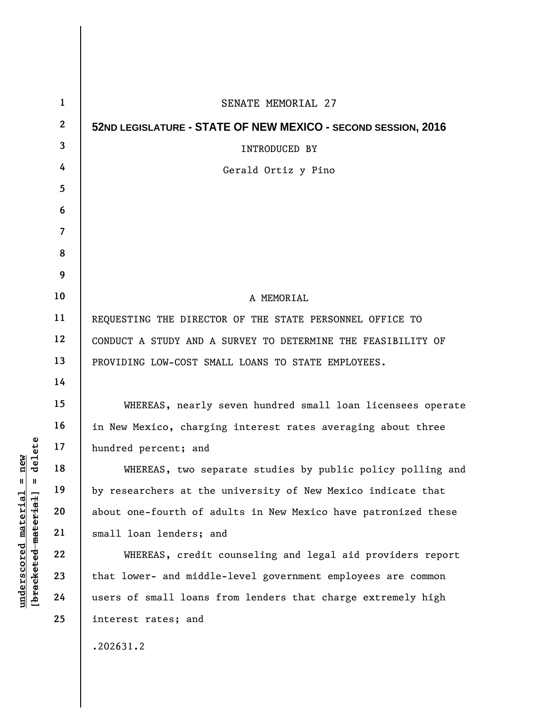| $\mathbf{1}$     | SENATE MEMORIAL 27                                             |
|------------------|----------------------------------------------------------------|
| $\boldsymbol{2}$ | 52ND LEGISLATURE - STATE OF NEW MEXICO - SECOND SESSION, 2016  |
| 3                | <b>INTRODUCED BY</b>                                           |
| 4                | Gerald Ortiz y Pino                                            |
| 5                |                                                                |
| 6                |                                                                |
| 7                |                                                                |
| 8                |                                                                |
| 9                |                                                                |
| 10               | A MEMORIAL                                                     |
| 11               | REQUESTING THE DIRECTOR OF THE STATE PERSONNEL OFFICE TO       |
| 12               | CONDUCT A STUDY AND A SURVEY TO DETERMINE THE FEASIBILITY OF   |
| 13               | PROVIDING LOW-COST SMALL LOANS TO STATE EMPLOYEES.             |
| 14               |                                                                |
| 15               | WHEREAS, nearly seven hundred small loan licensees operate     |
| 16               | in New Mexico, charging interest rates averaging about three   |
| 17               | hundred percent; and                                           |
| 18               | WHEREAS, two separate studies by public policy polling and     |
| 19               | by researchers at the university of New Mexico indicate that   |
| 20               | about one-fourth of adults in New Mexico have patronized these |
| 21               | small loan lenders; and                                        |
| 22               | WHEREAS, credit counseling and legal aid providers report      |
| 23               | that lower- and middle-level government employees are common   |
| 24               | users of small loans from lenders that charge extremely high   |
| 25               | interest rates; and                                            |
|                  | .202631.2                                                      |

 $[bracketeed-materiat] = delete$ **[bracketed material] = delete**  $underscored material = new$ **underscored material = new**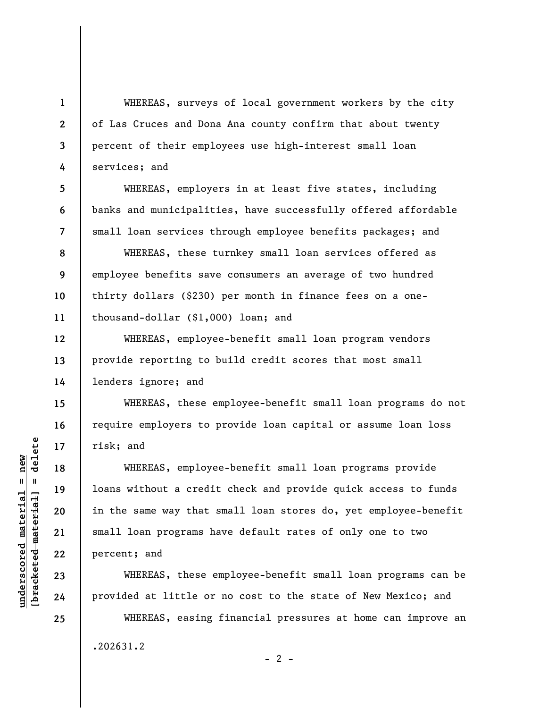WHEREAS, surveys of local government workers by the city of Las Cruces and Dona Ana county confirm that about twenty percent of their employees use high-interest small loan services; and

WHEREAS, employers in at least five states, including banks and municipalities, have successfully offered affordable small loan services through employee benefits packages; and

WHEREAS, these turnkey small loan services offered as employee benefits save consumers an average of two hundred thirty dollars (\$230) per month in finance fees on a onethousand-dollar (\$1,000) loan; and

WHEREAS, employee-benefit small loan program vendors provide reporting to build credit scores that most small lenders ignore; and

WHEREAS, these employee-benefit small loan programs do not require employers to provide loan capital or assume loan loss risk; and

WHEREAS, employee-benefit small loan programs provide loans without a credit check and provide quick access to funds in the same way that small loan stores do, yet employee-benefit small loan programs have default rates of only one to two percent; and

WHEREAS, these employee-benefit small loan programs can be provided at little or no cost to the state of New Mexico; and

WHEREAS, easing financial pressures at home can improve an .202631.2  $- 2 -$ 

 $b$ racketed material] = delete **[bracketed material] = delete**  $underscored material = new$ **underscored material = new**

**1** 

**2** 

**3** 

**4** 

**5** 

**6** 

**7** 

**8** 

**9** 

**10** 

**11** 

**12** 

**13** 

**14** 

**15** 

**16** 

**17** 

**18** 

**19** 

**20** 

**21** 

**22** 

**23** 

**24**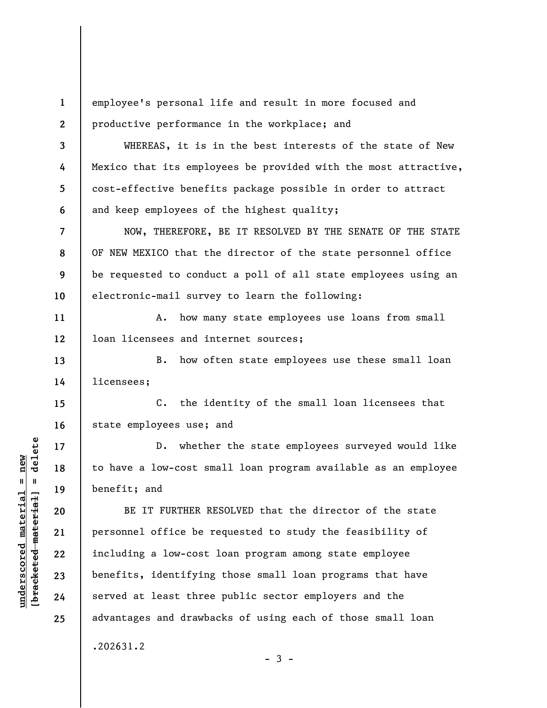**1 2**  employee's personal life and result in more focused and productive performance in the workplace; and

WHEREAS, it is in the best interests of the state of New Mexico that its employees be provided with the most attractive, cost-effective benefits package possible in order to attract and keep employees of the highest quality;

NOW, THEREFORE, BE IT RESOLVED BY THE SENATE OF THE STATE OF NEW MEXICO that the director of the state personnel office be requested to conduct a poll of all state employees using an electronic-mail survey to learn the following:

A. how many state employees use loans from small loan licensees and internet sources;

**13 14**  B. how often state employees use these small loan licensees;

**15 16**  C. the identity of the small loan licensees that state employees use; and

D. whether the state employees surveyed would like to have a low-cost small loan program available as an employee benefit; and

BE IT FURTHER RESOLVED that the director of the state personnel office be requested to study the feasibility of including a low-cost loan program among state employee benefits, identifying those small loan programs that have served at least three public sector employers and the advantages and drawbacks of using each of those small loan

 $-3 -$ 

.202631.2

 $\frac{1}{2}$  intereted material = delete **[bracketed material] = delete**  $underscored material = new$ **underscored material = new**

**3** 

**4** 

**5** 

**6** 

**7** 

**8** 

**9** 

**10** 

**11** 

**12** 

**17** 

**18** 

**19** 

**20** 

**21** 

**22** 

**23** 

**24** 

**25**